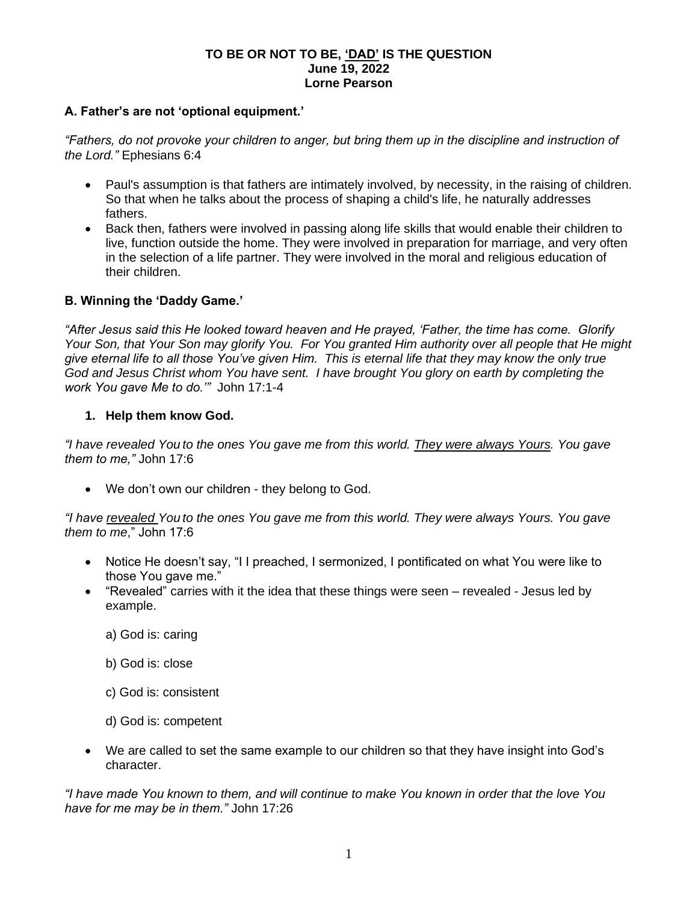#### **TO BE OR NOT TO BE, 'DAD' IS THE QUESTION June 19, 2022 Lorne Pearson**

#### **A. Father's are not 'optional equipment.'**

*"Fathers, do not provoke your children to anger, but bring them up in the discipline and instruction of the Lord."* Ephesians 6:4

- Paul's assumption is that fathers are intimately involved, by necessity, in the raising of children. So that when he talks about the process of shaping a child's life, he naturally addresses fathers.
- Back then, fathers were involved in passing along life skills that would enable their children to live, function outside the home. They were involved in preparation for marriage, and very often in the selection of a life partner. They were involved in the moral and religious education of their children.

## **B. Winning the 'Daddy Game.'**

*"After Jesus said this He looked toward heaven and He prayed, 'Father, the time has come. Glorify Your Son, that Your Son may glorify You. For You granted Him authority over all people that He might give eternal life to all those You've given Him. This is eternal life that they may know the only true God and Jesus Christ whom You have sent. I have brought You glory on earth by completing the work You gave Me to do.'"* John 17:1-4

## **1. Help them know God.**

*"I have revealed You to the ones You gave me from this world. They were always Yours. You gave them to me,"* John 17:6

• We don't own our children - they belong to God.

*"I have revealed You to the ones You gave me from this world. They were always Yours. You gave them to me*," John 17:6

- Notice He doesn't say, "I I preached, I sermonized, I pontificated on what You were like to those You gave me."
- "Revealed" carries with it the idea that these things were seen revealed Jesus led by example.
	- a) God is: caring
	- b) God is: close
	- c) God is: consistent
	- d) God is: competent
- We are called to set the same example to our children so that they have insight into God's character.

*"I have made You known to them, and will continue to make You known in order that the love You have for me may be in them."* John 17:26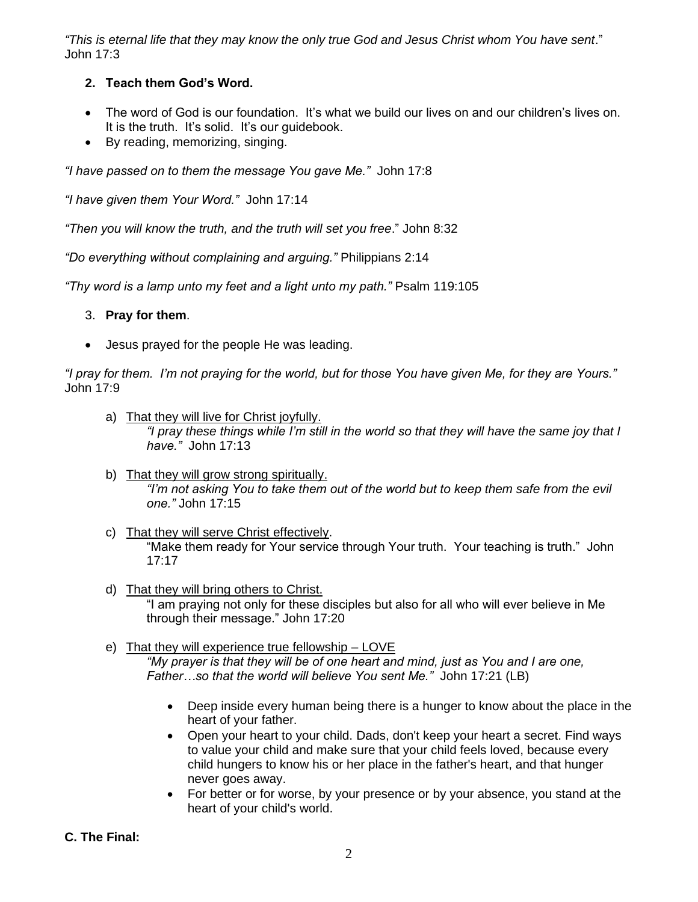*"This is eternal life that they may know the only true God and Jesus Christ whom You have sent*." John 17:3

# **2. Teach them God's Word.**

- The word of God is our foundation. It's what we build our lives on and our children's lives on. It is the truth. It's solid. It's our guidebook.
- By reading, memorizing, singing.

*"I have passed on to them the message You gave Me."* John 17:8

*"I have given them Your Word."* John 17:14

*"Then you will know the truth, and the truth will set you free*." John 8:32

*"Do everything without complaining and arguing."* Philippians 2:14

*"Thy word is a lamp unto my feet and a light unto my path."* Psalm 119:105

## 3. **Pray for them**.

• Jesus prayed for the people He was leading.

*"I pray for them. I'm not praying for the world, but for those You have given Me, for they are Yours."*  John 17:9

- a) That they will live for Christ joyfully. *"I pray these things while I'm still in the world so that they will have the same joy that I have."* John 17:13
- b) That they will grow strong spiritually. *"I'm not asking You to take them out of the world but to keep them safe from the evil one."* John 17:15
- c) That they will serve Christ effectively. "Make them ready for Your service through Your truth. Your teaching is truth." John 17:17
- d) That they will bring others to Christ. "I am praying not only for these disciples but also for all who will ever believe in Me through their message." John 17:20
- e) That they will experience true fellowship LOVE *"My prayer is that they will be of one heart and mind, just as You and I are one, Father…so that the world will believe You sent Me."* John 17:21 (LB)
	- Deep inside every human being there is a hunger to know about the place in the heart of your father.
	- Open your heart to your child. Dads, don't keep your heart a secret. Find ways to value your child and make sure that your child feels loved, because every child hungers to know his or her place in the father's heart, and that hunger never goes away.
	- For better or for worse, by your presence or by your absence, you stand at the heart of your child's world.

**C. The Final:**